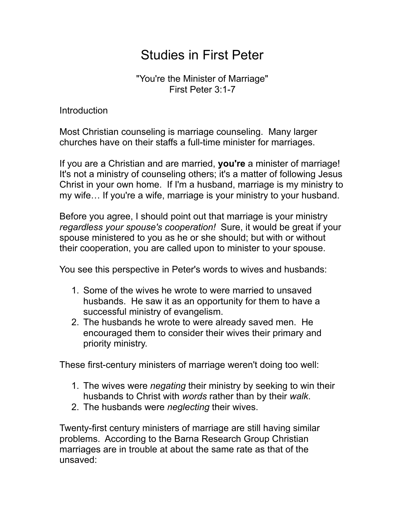## Studies in First Peter

"You're the Minister of Marriage" First Peter 3:1-7

Introduction

Most Christian counseling is marriage counseling. Many larger churches have on their staffs a full-time minister for marriages.

If you are a Christian and are married, **you're** a minister of marriage! It's not a ministry of counseling others; it's a matter of following Jesus Christ in your own home. If I'm a husband, marriage is my ministry to my wife… If you're a wife, marriage is your ministry to your husband.

Before you agree, I should point out that marriage is your ministry *regardless your spouse's cooperation!* Sure, it would be great if your spouse ministered to you as he or she should; but with or without their cooperation, you are called upon to minister to your spouse.

You see this perspective in Peter's words to wives and husbands:

- 1. Some of the wives he wrote to were married to unsaved husbands. He saw it as an opportunity for them to have a successful ministry of evangelism.
- 2. The husbands he wrote to were already saved men. He encouraged them to consider their wives their primary and priority ministry.

These first-century ministers of marriage weren't doing too well:

- 1. The wives were *negating* their ministry by seeking to win their husbands to Christ with *words* rather than by their *walk*.
- 2. The husbands were *neglecting* their wives.

Twenty-first century ministers of marriage are still having similar problems. According to the Barna Research Group Christian marriages are in trouble at about the same rate as that of the unsaved: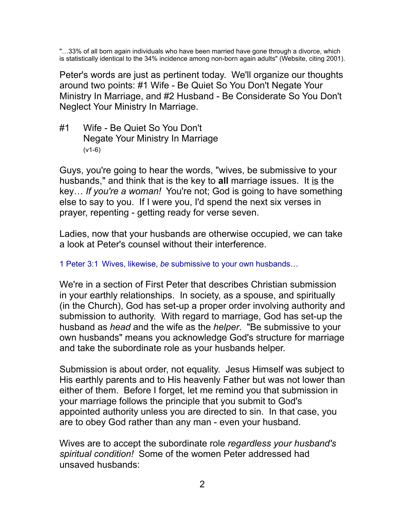"…33% of all born again individuals who have been married have gone through a divorce, which is statistically identical to the 34% incidence among non-born again adults" (Website, citing 2001).

Peter's words are just as pertinent today. We'll organize our thoughts around two points: #1 Wife - Be Quiet So You Don't Negate Your Ministry In Marriage, and #2 Husband - Be Considerate So You Don't Neglect Your Ministry In Marriage.

#1 Wife - Be Quiet So You Don't Negate Your Ministry In Marriage (v1-6)

Guys, you're going to hear the words, "wives, be submissive to your husbands," and think that is the key to **all** marriage issues. It is the key… *If you're a woman!* You're not; God is going to have something else to say to you. If I were you, I'd spend the next six verses in prayer, repenting - getting ready for verse seven.

Ladies, now that your husbands are otherwise occupied, we can take a look at Peter's counsel without their interference.

1 Peter 3:1 Wives, likewise, *be* submissive to your own husbands…

We're in a section of First Peter that describes Christian submission in your earthly relationships. In society, as a spouse, and spiritually (in the Church), God has set-up a proper order involving authority and submission to authority. With regard to marriage, God has set-up the husband as *head* and the wife as the *helper*. "Be submissive to your own husbands" means you acknowledge God's structure for marriage and take the subordinate role as your husbands helper.

Submission is about order, not equality. Jesus Himself was subject to His earthly parents and to His heavenly Father but was not lower than either of them. Before I forget, let me remind you that submission in your marriage follows the principle that you submit to God's appointed authority unless you are directed to sin. In that case, you are to obey God rather than any man - even your husband.

Wives are to accept the subordinate role *regardless your husband's spiritual condition!* Some of the women Peter addressed had unsaved husbands: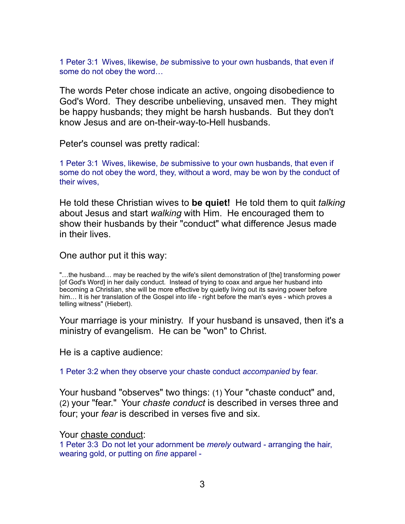1 Peter 3:1 Wives, likewise, *be* submissive to your own husbands, that even if some do not obey the word…

The words Peter chose indicate an active, ongoing disobedience to God's Word. They describe unbelieving, unsaved men. They might be happy husbands; they might be harsh husbands. But they don't know Jesus and are on-their-way-to-Hell husbands.

Peter's counsel was pretty radical:

1 Peter 3:1 Wives, likewise, *be* submissive to your own husbands, that even if some do not obey the word, they, without a word, may be won by the conduct of their wives,

He told these Christian wives to **be quiet!** He told them to quit *talking* about Jesus and start *walking* with Him. He encouraged them to show their husbands by their "conduct" what difference Jesus made in their lives.

One author put it this way:

"…the husband… may be reached by the wife's silent demonstration of [the] transforming power [of God's Word] in her daily conduct. Instead of trying to coax and argue her husband into becoming a Christian, she will be more effective by quietly living out its saving power before him... It is her translation of the Gospel into life - right before the man's eyes - which proves a telling witness" (Hiebert).

Your marriage is your ministry. If your husband is unsaved, then it's a ministry of evangelism. He can be "won" to Christ.

He is a captive audience:

1 Peter 3:2 when they observe your chaste conduct *accompanied* by fear.

Your husband "observes" two things: (1) Your "chaste conduct" and, (2) your "fear." Your *chaste conduct* is described in verses three and four; your *fear* is described in verses five and six.

Your chaste conduct:

1 Peter 3:3 Do not let your adornment be *merely* outward - arranging the hair, wearing gold, or putting on *fine* apparel -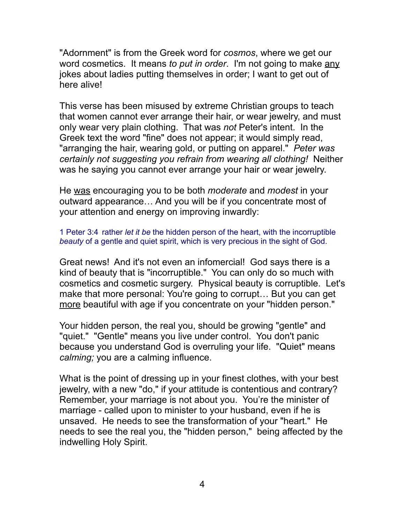"Adornment" is from the Greek word for *cosmos*, where we get our word cosmetics. It means *to put in order*. I'm not going to make any jokes about ladies putting themselves in order; I want to get out of here alive!

This verse has been misused by extreme Christian groups to teach that women cannot ever arrange their hair, or wear jewelry, and must only wear very plain clothing. That was *not* Peter's intent. In the Greek text the word "fine" does not appear; it would simply read, "arranging the hair, wearing gold, or putting on apparel." *Peter was certainly not suggesting you refrain from wearing all clothing!* Neither was he saying you cannot ever arrange your hair or wear jewelry.

He was encouraging you to be both *moderate* and *modest* in your outward appearance… And you will be if you concentrate most of your attention and energy on improving inwardly:

1 Peter 3:4 rather *let it be* the hidden person of the heart, with the incorruptible *beauty* of a gentle and quiet spirit, which is very precious in the sight of God.

Great news! And it's not even an infomercial! God says there is a kind of beauty that is "incorruptible." You can only do so much with cosmetics and cosmetic surgery. Physical beauty is corruptible. Let's make that more personal: You're going to corrupt… But you can get more beautiful with age if you concentrate on your "hidden person."

Your hidden person, the real you, should be growing "gentle" and "quiet." "Gentle" means you live under control. You don't panic because you understand God is overruling your life. "Quiet" means *calming;* you are a calming influence.

What is the point of dressing up in your finest clothes, with your best jewelry, with a new "do," if your attitude is contentious and contrary? Remember, your marriage is not about you. You're the minister of marriage - called upon to minister to your husband, even if he is unsaved. He needs to see the transformation of your "heart." He needs to see the real you, the "hidden person," being affected by the indwelling Holy Spirit.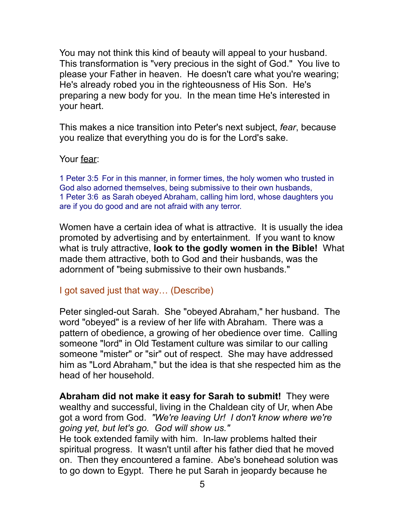You may not think this kind of beauty will appeal to your husband. This transformation is "very precious in the sight of God." You live to please your Father in heaven. He doesn't care what you're wearing; He's already robed you in the righteousness of His Son. He's preparing a new body for you. In the mean time He's interested in your heart.

This makes a nice transition into Peter's next subject, *fear*, because you realize that everything you do is for the Lord's sake.

Your fear:

1 Peter 3:5 For in this manner, in former times, the holy women who trusted in God also adorned themselves, being submissive to their own husbands, 1 Peter 3:6 as Sarah obeyed Abraham, calling him lord, whose daughters you are if you do good and are not afraid with any terror.

Women have a certain idea of what is attractive. It is usually the idea promoted by advertising and by entertainment. If you want to know what is truly attractive, **look to the godly women in the Bible!** What made them attractive, both to God and their husbands, was the adornment of "being submissive to their own husbands."

## I got saved just that way… (Describe)

Peter singled-out Sarah. She "obeyed Abraham," her husband. The word "obeyed" is a review of her life with Abraham. There was a pattern of obedience, a growing of her obedience over time. Calling someone "lord" in Old Testament culture was similar to our calling someone "mister" or "sir" out of respect. She may have addressed him as "Lord Abraham," but the idea is that she respected him as the head of her household.

**Abraham did not make it easy for Sarah to submit!** They were wealthy and successful, living in the Chaldean city of Ur, when Abe got a word from God. *"We're leaving Ur! I don't know where we're going yet, but let's go. God will show us."* 

He took extended family with him. In-law problems halted their spiritual progress. It wasn't until after his father died that he moved on. Then they encountered a famine. Abe's bonehead solution was to go down to Egypt. There he put Sarah in jeopardy because he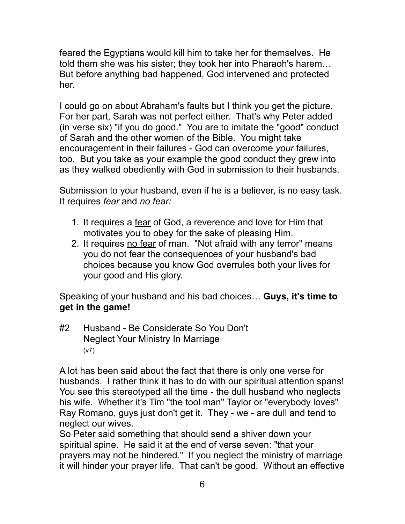feared the Egyptians would kill him to take her for themselves. He told them she was his sister; they took her into Pharaoh's harem… But before anything bad happened, God intervened and protected her.

I could go on about Abraham's faults but I think you get the picture. For her part, Sarah was not perfect either. That's why Peter added (in verse six) "if you do good." You are to imitate the "good" conduct of Sarah and the other women of the Bible. You might take encouragement in their failures - God can overcome *your* failures, too. But you take as your example the good conduct they grew into as they walked obediently with God in submission to their husbands.

Submission to your husband, even if he is a believer, is no easy task. It requires *fear* and *no fear:*

- 1. It requires a fear of God, a reverence and love for Him that motivates you to obey for the sake of pleasing Him.
- 2. It requires no fear of man. "Not afraid with any terror" means you do not fear the consequences of your husband's bad choices because you know God overrules both your lives for your good and His glory.

Speaking of your husband and his bad choices… **Guys, it's time to get in the game!**

#2 Husband - Be Considerate So You Don't Neglect Your Ministry In Marriage (v7)

A lot has been said about the fact that there is only one verse for husbands. I rather think it has to do with our spiritual attention spans! You see this stereotyped all the time - the dull husband who neglects his wife. Whether it's Tim "the tool man" Taylor or "everybody loves" Ray Romano, guys just don't get it. They - we - are dull and tend to neglect our wives.

So Peter said something that should send a shiver down your spiritual spine. He said it at the end of verse seven: "that your prayers may not be hindered." If you neglect the ministry of marriage it will hinder your prayer life. That can't be good. Without an effective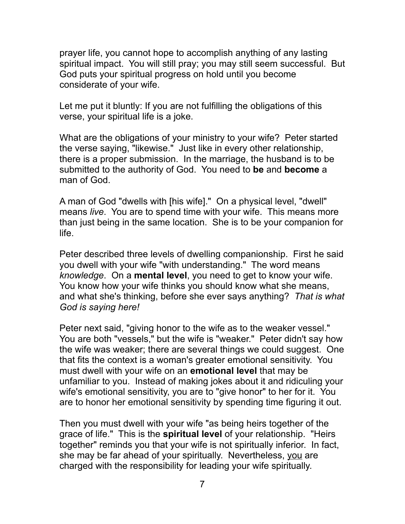prayer life, you cannot hope to accomplish anything of any lasting spiritual impact. You will still pray; you may still seem successful. But God puts your spiritual progress on hold until you become considerate of your wife.

Let me put it bluntly: If you are not fulfilling the obligations of this verse, your spiritual life is a joke.

What are the obligations of your ministry to your wife? Peter started the verse saying, "likewise." Just like in every other relationship, there is a proper submission. In the marriage, the husband is to be submitted to the authority of God. You need to **be** and **become** a man of God.

A man of God "dwells with [his wife]." On a physical level, "dwell" means *live*. You are to spend time with your wife. This means more than just being in the same location. She is to be your companion for life.

Peter described three levels of dwelling companionship. First he said you dwell with your wife "with understanding." The word means *knowledge*. On a **mental level**, you need to get to know your wife. You know how your wife thinks you should know what she means, and what she's thinking, before she ever says anything? *That is what God is saying here!* 

Peter next said, "giving honor to the wife as to the weaker vessel." You are both "vessels," but the wife is "weaker." Peter didn't say how the wife was weaker; there are several things we could suggest. One that fits the context is a woman's greater emotional sensitivity. You must dwell with your wife on an **emotional level** that may be unfamiliar to you. Instead of making jokes about it and ridiculing your wife's emotional sensitivity, you are to "give honor" to her for it. You are to honor her emotional sensitivity by spending time figuring it out.

Then you must dwell with your wife "as being heirs together of the grace of life." This is the **spiritual level** of your relationship. "Heirs together" reminds you that your wife is not spiritually inferior. In fact, she may be far ahead of your spiritually. Nevertheless, you are charged with the responsibility for leading your wife spiritually.